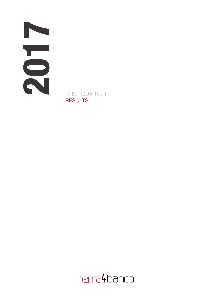. . . . . . . . . . .

. . . . . . . . . . . . .

FIRST QUARTER **RESULTS** 

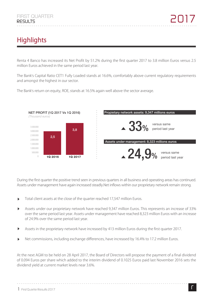# **Highlights**

Renta 4 Banco has increased its Net Profit by 51.2% during the first quarter 2017 to 3.8 million Euros versus 2.5 million Euros achieved in the same period last year.

The Bank's Capital Ratio CET1 Fully Loaded stands at 16.6%, comfortably above current regulatory requirements and amongst the highest in our sector.

500.000 1.000.000 1.500.000 2.000.000 2.500.000 3.000.000 3.500.000  $\bigcirc$ NET PROFIT (1Q 2017 Vs 1Q 2016) *(Thousand euros)* 1Q 2016 1Q 2017 3,8 2,5 33% Propietary network assets: 9,347 millions euros versus same period last year  $\overline{\mathbf{24.9}}$ %  $^{\circ}$  versus same Assets under management: 8,323 millions euros

The Bank's return on equity, ROE, stands at 16.5% again well above the sector average.

During the first quarter the positive trend seen in previous quarters in all business and operating areas has continued. Assets under management have again increased steadly.Net inflows within our proprietary network remain strong.

- Total client assets at the close of the quarter reached 17,547 million Euros.
- Assets under our proprietary network have reached 9,347 million Euros. This represents an increase of 33%  $\blacktriangleright$ over the same period last year. Assets under management have reached 8,323 million Euros with an increase of 24.9% over the same period last year.
- $\mathbf{b}$ Assets in the proprietary network have increased by 413 million Euros during the first quarter 2017.
- Net commissions, including exchange differences, have increased by 16.4% to 17.2 million Euros.

At the next AGM to be held on 28 April 2017, the Board of Directors will propose the payment of a final dividend of 0.094 Euros per share which added to the interim dividend of 0.1025 Euros paid last November 2016 sets the dividend yield at current market levels near 3.6%.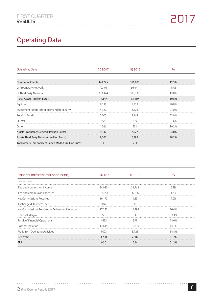# **Operating Data**

| Operating Data                                         | 102017   | 102016  | 0/6   |
|--------------------------------------------------------|----------|---------|-------|
|                                                        |          |         |       |
| <b>Number of Clients</b>                               | 449,745  | 399,808 | 12.5% |
| of Proprietary Network                                 | 70,401   | 66,471  | 5.9%  |
| of Third Party Network                                 | 379,344  | 333,337 | 13.8% |
| Total Assets (million Euros)                           | 17,547   | 13,419  | 30.8% |
| Equities                                               | 8,198    | 5,822   | 40.8% |
| Investment Funds (proprietary and third party)         | 4,322    | 3,403   | 27.0% |
| Pension Funds                                          | 3,005    | 2,444   | 23.0% |
| <b>SICAVs</b>                                          | 996      | 819     | 21.6% |
| Others                                                 | 1.026    | 931     | 10.2% |
| Assets Proprietary Network (million Euros)             | 9,347    | 7.027   | 33.0% |
| Assets Third Party Network (million Euros)             | 8.200    | 6,392   | 28.3% |
| Total Assets Temporary of Banco Madrid (million Euros) | $\Omega$ | 933     |       |

| Financial Indicators ( thousand euros)          | 102017  | 102016    | %       |
|-------------------------------------------------|---------|-----------|---------|
| Thousand of euros                               |         |           |         |
| Fee and commission income                       | 34,030  | 31,963    | 6 5%    |
| Fee and commission expenses                     | -17,858 | $-17.132$ | 4 ን‰    |
| Net Commissions Received                        | 16.172  | 14.831    | 90%     |
| Exchange differences (net)                      | 946     | -81       |         |
| Net Commissions Received + Exchange differences | 17.222  | 14.799    | 16 4%   |
| Financial Margin                                |         | 839       | $-141%$ |
| Result of Financial Operations                  | 1.693   | 951       | 78.0%   |
| Cost of Operation                               | 14.645  | 12.839    | l 41%   |
| Profit from Operating Activities                | 5.023   |           |         |
| <b>Net Profit</b>                               | 3,790   | 2,507     | 51.2%   |
| FPS                                             | 0 30    | በ 34      | 51.2%   |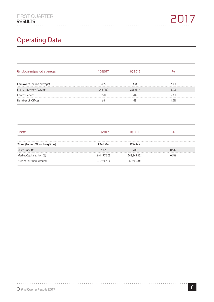# **Operating Data**

| Employees (period average) | 02017    | . ח 2016 |      |
|----------------------------|----------|----------|------|
| yees (period average)      |          |          | 7.1% |
| Branch Network (Latam)     | 245 (46) | 225 (31) | .9%  |
| Central services           |          |          | 53%  |
| Number of Offices          |          |          | 6%   |

. . . . . . . . . . . . .

. . . . . . . . . . . . .

| Share                              | 102017      | 02016       |  |
|------------------------------------|-------------|-------------|--|
| Ticker (Reuters/Bloomberg/Adrs)    | RTA4 MA     | RTA4 MA     |  |
| Share Price $(\epsilon)$           | 5.87        |             |  |
| Market Capitalisation $(\epsilon)$ | 244,177,303 | 243,345,353 |  |
| Number of Shares Issued            |             |             |  |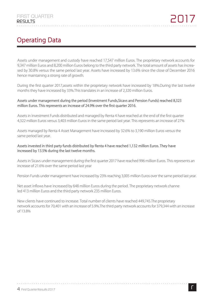## **Operating Data**

Assets under management and custody have reached 17,547 million Euros. The proprietary network accounts for 9,347 million Euros and 8,200 million Euros belong to the third party network. The total amount of assets has increased by 30.8% versus the same period last year. Assets have increased by 13.6% since the close of December 2016 hence maintaining a strong rate of growth.

During the first quarter 2017,assets within the proprietary network have increased by 18%.During the last twelve months they have increased by 33%.This translates in an increase of 2,320 million Euros.

#### **Assets under management during the period (Investment Funds,Sicavs and Pension Funds) reached 8,323 million Euros. This represents an increase of 24.9% over the first quarter 2016.**

Assets in Investment Funds distributed and managed by Renta 4 have reached at the end of the first quarter 4,322 million Euros versus 3,403 million Euros in the same period last year. This represents an increase of 27%

Assets managed by Renta 4 Asset Management have increased by 32.6% to 3,190 million Euros versus the same period last year.

#### **Assets invested in third party funds distributed by Renta 4 have reached 1,132 million Euros. They have increased by 13.5% during the last twelve months.**

Assets in Sicavs under management during the first quarter 2017 have reached 996 million Euros. This represents an increase of 21.6% over the same period last year

Pension Funds under management have increased by 23% reaching 3,005 million Euros over the same period last year.

Net asset inflows have increased by 648 million Euros during the period. The proprietary network channe led 413 million Euros and the third party network 235 million Euros.

New clients have continued to increase. Total number of clients have reached 449,745.The proprietary network accounts for 70,401 with an increase of 5.9%.The third party network accounts for 379,344 with an increase of 13.8%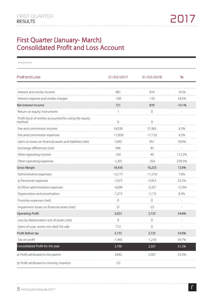### **First Quarter (January- March) Consolidated Profit and Loss Account**

| Thousand of euros                                                  |            |                |          |
|--------------------------------------------------------------------|------------|----------------|----------|
| Profil and Loss                                                    | 31/03/2017 | 31/03/2016     | %        |
|                                                                    |            |                |          |
| Interest and similar income                                        | 881        | 974            | -9.5%    |
| Interest expense and similar charges                               | $-160$     | $-135$         | 18.5%    |
| Net Interest Income                                                | 721<br>.   | 839            | $-14.1%$ |
| Return on equity instruments                                       | 1          | $\Omega$       |          |
| Profit (loss) of entities accounted for using the equity<br>method | $\Omega$   | $\Omega$       |          |
| Fee and commission income                                          | 34,030     | 31,963         | 6.5%     |
| Fee and commission expenses                                        | $-17,858$  | $-17,132$      | 4.2%     |
| Gains or losses on financial assets and liabilities (net)          | 1,693      | 951            | 78.0%    |
| Exchange differences (net)                                         | 946        | -81            |          |
| Other operating income                                             | 104        | 49             | 112.2%   |
| Other operating expenses                                           | $-1,201$   | $-354$         | 239.3%   |
| <b>Gross Margin</b>                                                | 18,436     | 16,235         | 13.6%    |
| Administrative expenses:                                           | $-12,171$  | $-11,310$      | 7.6%     |
| a) Personnel expenses                                              | $-7,473$   | $-5,953$       | 25.5%    |
| b) Other administrative expenses                                   | $-4,698$   | $-5,357$       | $-12.3%$ |
| Depreciation and amortisation                                      | $-1,273$   | $-1,175$       | 8.3%     |
| Provision expenses (net)                                           | 0          | $\overline{0}$ |          |
| Impairment losses on financial assets (net)                        | 31         | $-25$          |          |
| <b>Operating Profit</b>                                            | 5,023      | 3,725          | 34.8%    |
| Loss by deterioration rest of assets (net)                         |            |                |          |
| Gains of susp. assets not clasif. for sale                         | 712        | 0              |          |
| Profit Before tax                                                  | 5,735      | 3,725          | 54.0%    |
| Tax on profit                                                      | $-1,945$   | $-1,218$       | 59.7%    |
| Consolidated Profit for the year                                   | 3,790      | 2,507          | 51.2%    |
| a) Profit attributed to the parent                                 | 3,842      | 2,507          | 53.3%    |
| b) Profit attributed to minority interests                         | $-52$      |                |          |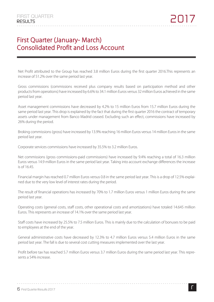### **First Quarter (January- March) Consolidated Profit and Loss Account**

Net Profit attributed to the Group has reached 3.8 million Euros during the first quarter 2016.This represents an increase of 51.2% over the same period last year.

Gross commissions (commissions received plus company results based on participation method and other products from operations) have increased by 6.6% to 34.1 million Euros versus 32 million Euros achieved in the same period last year.

Asset management commissions have decreased by 4.2% to 15 million Euros from 15.7 million Euros during the same period last year. This drop is explained by the fact that during the first quarter 2016 the contract of temporary assets under management from Banco Madrid ceased. Excluding such an effect, commissions have increased by 26% during the period.

Broking commissions (gross) have increased by 13.9% reaching 16 million Euros versus 14 million Euros in the same period last year.

Corporate services commissions have increased by 35.5% to 3.2 million Euros.

Net commissions (gross commissions-paid commissions) have increased by 9.4% reaching a total of 16.3 million Euros versus 14.9 million Euros in the same period last year. Taking into account exchange differences the increase is of 16.45.

Financial margin has reached 0.7 million Euros versus 0.8 in the same period last year. This is a drop of 12.5% explained due to the very low level of interest rates during the period.

The result of financial operations has increased by 70% to 1.7 million Euros versus 1 million Euros during the same period last year.

Operating costs (general costs, staff costs, other operational costs and amortizations) have totaled 14.645 million Euros. This represents an increase of 14.1% over the same period last year.

Staff costs have increased by 25.5% to 7.5 million Euros. This is mainly due to the calculation of bonuses to be paid to employees at the end of the year.

General administrative costs have decreased by 12.3% to 4.7 million Euros versus 5.4 million Euros in the same period last year. The fall is due to several cost cutting measures implemented over the last year.

Profit before tax has reached 5.7 million Euros versus 3.7 million Euros during the same period last year. This represents a 54% increase.

### *First Quarter Results 2017 6*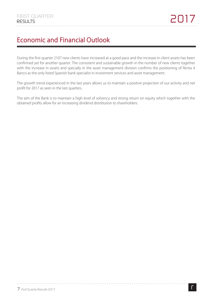## **Economic and Financial Outlook**

During the first quarter 2107 new clients have increased at a good pace and the increase in client assets has been confirmed yet for another quarter. The consistent and sustainable growth in the number of new clients together with the increase in assets and specially in the asset management division confirms the positioning of Renta 4 Banco as the only listed Spanish bank specialist in investment services and asset management.

The growth trend experienced in the last years allows us to maintain a positive projection of our activity and net profit for 2017 as seen in the last quarters.

The aim of the Bank is to maintain a high level of solvency and strong return on equity which together with the obtained profits allow for an increasing dividend distribution to shareholders.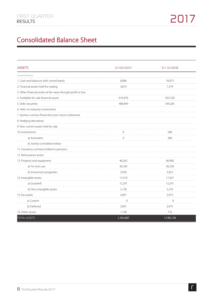## **Consolidated Balance Sheet**

| <b>ASSETS</b>                                                  | 31/03/2017     | 31/12/2016     |
|----------------------------------------------------------------|----------------|----------------|
| Thousand of euros                                              |                |                |
| 1. Cash and balances with central banks                        | 8,896          | 10,972         |
| 2. Financial assets held for trading                           | 4,874          | 7,379          |
| 3. Other financial assets at fair value through profit or loss |                |                |
| 4. Available-for-sale financial assets                         | 616,976        | 565,528        |
| 5. Debt securities                                             | 488,949        | 549,205        |
| 6. Held -to-maturity investments                               |                |                |
| 7. Ajustes a activos financieros por macro-coberturas          |                |                |
| 8. Hedging derivatives                                         |                |                |
| 9. Non-current assets held for sale                            |                |                |
| 10. Investments                                                | 0              | 286            |
| a) Associates                                                  | $\overline{0}$ | 286            |
| b) Jointly controlled entities                                 |                |                |
| 11. Insurance contracts linked to pensions                     |                |                |
| 12. Reinsurance assets                                         |                |                |
| 13. Property and equipment:                                    | 40,262         | 40,490         |
| a) For own use                                                 | 36,342         | 36,538         |
| b) Investment properties                                       | 3,920          | 3,952          |
| 14. Intangible assets:                                         | 17,419         | 17,567         |
| a) Goodwill                                                    | 15,291         | 15,291         |
| b) Otro intangible assets                                      | 2,128          | 2,276          |
| 15.Tax assets                                                  | 3,091          | 2,975          |
| a) Current                                                     | $\Omega$       | $\overline{0}$ |
| b) Deferred                                                    | 3,091          | 2,975          |
| 16. Other assets                                               | 1,140          | 716            |
| <b>TOTAL ASSETS</b>                                            | 1,181,607      | 1,195,118      |

. . . . . . . . . .

. . . . . . . . . . . . .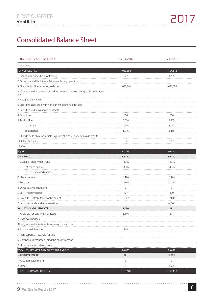## **Consolidated Balance Sheet**

| TOTAL EQUITY AND LIABILITIES                                                              | 31/03/2017 | 31/12/2016  |
|-------------------------------------------------------------------------------------------|------------|-------------|
| Thousand of euros                                                                         |            |             |
| <b>TOTAL LIABILITIES</b>                                                                  | 1,089,884  | 1,104,612   |
| 1. Financial liabilities held for trading                                                 | 822        | 4,205       |
| 2. Other financial liabilities at fair value through profit or loss                       |            |             |
| 3. Financial liabilities at amortized cost                                                | 1,078,261  | 1,092,883   |
| 4. Changes in the fair value of hedged items in portfolio hedges of interest rate<br>risk |            |             |
| 5. Hedging derivatives                                                                    |            |             |
| 6. Liabilities associated with non-current assets held for sale                           |            |             |
| 7. Liabilities under insurance contracts                                                  |            |             |
| 8. Provisions                                                                             | 500        | 700         |
| 9. Tax liabilities                                                                        | 6,660      | 4,533       |
| a) Current                                                                                | 4,744      | 3,077       |
| b) Deferred                                                                               | 1,916      | 1,456       |
| 10. Fondo de la obra social (sólo Cajas de Ahorro y Cooperativas de crédito)              |            |             |
| 11. Other liabilities                                                                     | 3,641      | 2,291       |
| 12. Cash                                                                                  |            |             |
| <b>EQUITY</b>                                                                             | 91,723     | 90,506      |
| <b>OWN FUNDS</b>                                                                          | 89,142     | 89,100      |
| 1. Capital or endowment fund                                                              | 18,312     | 18,312      |
| a) Issued capital                                                                         | 18,312     | 18,312      |
| b) Less: uncalled capital                                                                 |            |             |
| 2. Share premium                                                                          | 8,496      | 8,496       |
| 3. Reserves                                                                               | 58,919     | 54,782      |
| 4. Other equity instruments                                                               | 0          | $\mathbf 0$ |
| 5. Less: Treasury shares                                                                  | 427        | 370         |
| 6. Profit (loss) attributable to the parent                                               | 3,842      | 12,045      |
| 7. Less: Dividends and remuneration                                                       |            | $-4,165$    |
| <b>VALUATION ADJUSTMENTS</b>                                                              | 1,690      | 381         |
| 1. Available-for-sale financial assets                                                    | 1,446      | 377         |
| 2. Cash flow hedges                                                                       |            |             |
| 3. Hedges in net investments in foreign operations                                        |            |             |
| 4. Exchange differences                                                                   | 244        | 4           |
| 5. Non-current assets held for sale                                                       |            |             |
| 6. Companies accounted using the equity method                                            |            |             |
| 7. Other valuation adjustments                                                            |            |             |
| TOTAL EQUITY ATTRIBUTABLE TO THE PARENT                                                   | 90,832     | 89,481      |
| <b>MINORITY INTERSTS</b>                                                                  | 891        | 1,025       |
| 1. Valuation adjustments                                                                  | 0          | $\Omega$    |
| 2. Others                                                                                 | 891        | 1,025       |
| TOTAL EQUITY AND LIABILITY                                                                | 1,181,607  | 1,195,118   |